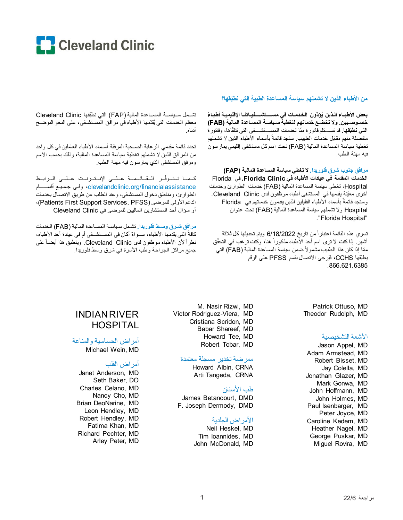

#### من الأطباء الذين لا تشملهم سباسة المساعدة الطبية التي نطبّقها؟

بعض الأطبـاء الـذين يُوَدّون الـخـدمـات في مســــتشــــفيـاتنــا الإقليميــة أطبـاءٌ خصـوصـيين. ولا تخضـع خدماتهم لتغطية سـياسـة المسـاعدة المالية (FAB) ا**لتي نطبَقها.** قد تســـتلم فاتور ة منّا لخدمات المســـتشـــفي التي تتلقّاها، وفاتور ة منفصلة منهم مقابل خدمات الطبيب. ستجد قائمةً بأسماء الأطباء الذين لا تشملهم تغطية سياسة المساعدة المالية (FAB) تحت اسم كل مستشفى إقليمي يمار سون فيه مهنة الطب

مرافق جنوب شرق فلوريدا. لا تغطي سياسة المساعدة المالية (FAP) الخدمات المقدمة في عيادات الأطباء في Florida Clinic. في Florida Hospital، تغطي سياسة المساعدة المالية (FAB) خدمات الطوارئ وخدمات أخرى معيّنة يقدمها في المستشفى أطباء موظفون لدى Cleveland Clinic. وستجد قائمةً بأسماء الأطباء القليلين الذين يقدمون خدماتهم في Florida Hospital ولا تشملهم سياسة المساعدة المالية (FAB) تحت عنوان "Florida Hospital".

تسرى هذه القائمة اعتبار أمن تاريخ 6/18/2022 ويتم تحديثها كل ثلاثة أشهر ٍ إذا كنت لا نرى اسم أحد الأطباء مذكوراً هنا، وكنت نرغب في التحقُّق ممّا إذا كان هذا الطبيب مشمولاً ضمن سياسة المساعدة المالية (FAB) التي يطبِّقها CCHS، فيُرجى الاتصال بقسم PFSS على الرقم .866.621.6385

تشمل سياسة المساعدة المالية (FAP) التي تطبّقها Cleveland Clinic معظم الخدمات التي يُقدِّمها الأطباء في مرافق المستشـفي، على النحو الموضـح أدناه

تحدد قائمة مقدمي الرعاية الصحية المرفقة أسماء الأطباء العاملين في كل واحد من المر افق الذين لا تشملهم تغطية سياسة المساعدة المالية، وذلك بحسب الاسم ومرفق المستشفى الذي يمارسون فيه مهنة الطب.

كلما تتوفّر القائلمة عللى الإنترنت عللى الرابط clevelandclinic.org/financialassistance، وفي جميع أقســـــام الطوارئ، ومناطق دخول المستشفى، وعند الطلب عن طريق الاتصال بخدمات الدعم الأولى للمرضى (Patients First Support Services, PFSS)، أو سؤال أحد المستشارين الماليين للمرضى في Cleveland Clinic

مرافق شرق وسط فلوريدا. تشمل سباسة المساعدة المالية (FAB) الخدمات كافةً التي يقدمها الأطباء، ســواءٌ أكان في المســتشــفي أم في عيادة أحد الأطباء، نظراً لأن الأطباء موظفون لدى Cleveland Clinic. وينطبق هذا أيضـاً على جميع مراكز الجراحة وطب الأسرة في شرق وسط فلوريدا.

> Patrick Ottuso, MD Theodor Rudolph, MD

#### الأشعة التشخيصية

Jason Appel, MD Adam Armstead, MD Robert Bisset, MD Jay Colella, MD Jonathan Glazer, MD Mark Gonwa, MD John Hoffmann, MD John Holmes, MD Paul Isenbarger, MD Peter Joyce, MD Caroline Kedem. MD Heather Nagel, MD George Puskar, MD Miguel Rovira, MD

M. Nasir Rizwi, MD Victor Rodriguez-Viera, MD Cristiana Scridon, MD Babar Shareef, MD Howard Tee, MD Robert Tobar, MD

#### ممرضة تخدير مسجلة معتمدة

Howard Albin, CRNA Arti Tangeda, CRNA

#### طب الأسنان

James Betancourt, DMD F. Joseph Dermody, DMD

#### الأمر اض الجلدية

Neil Heskel, MD Tim loannides, MD John McDonald, MD

# **INDIAN RIVER HOSPITAL**

أمر اض الحساسية والمناعة Michael Wein, MD

### أمراض القلب

Janet Anderson, MD Seth Baker, DO Charles Celano, MD Nancy Cho, MD Brian DeoNarine, MD Leon Hendley, MD Robert Hendley, MD Fatima Khan, MD Richard Pechter, MD Arley Peter, MD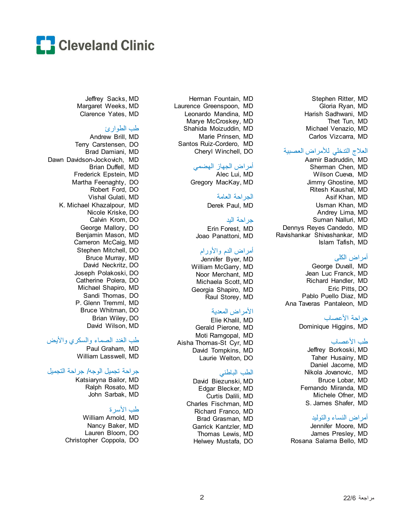

Stephen Ritter, MD Gloria Ryan, MD Harish Sadhwani, MD Thet Tun, MD Michael Venazio, MD Carlos Vizcarra, MD

### العلاج التدخلي للأمراض العصبیة

Aamir Badruddin, MD Sherman Chen, MD Wilson Cueva, MD Jimmy Ghostine, MD Ritesh Kaushal, MD Asif Khan, MD Usman Khan, MD Andrey Lima, MD Suman Nalluri, MD Dennys Reyes Candedo, MD Ravishankar Shivashankar, MD Islam Tafish, MD

### أمراض الكلى

George Duvall, MD Jean Luc Franck, MD Richard Handler, MD Eric Pitts, DO Pablo Puello Diaz, MD Ana Taveras Pantaleon, MD

### جراحة الأعصاب

Dominique Higgins, MD

#### طب الأعصاب

Jeffrey Borkoski, MD Taher Husainy, MD Daniel Jacome, MD Nikola Jovanovic, MD Bruce Lobar, MD Fernando Miranda, MD Michele Ofner, MD S. James Shafer, MD

#### أمراض النساء والتولید

Jennifer Moore, MD James Presley, MD Rosana Salama Bello, MD

Herman Fountain, MD Laurence Greenspoon, MD Leonardo Mandina, MD Marye McCroskey, MD Shahida Moizuddin, MD Marie Prinsen, MD Santos Ruiz-Cordero, MD Cheryl Winchell, DO

## أمراض الجھاز الھضمي

Alec Lui, MD Gregory MacKay, MD

## الجراحة العامة

Derek Paul, MD

### جراحة الید

Erin Forest, MD Joao Panattoni, MD

## أمراض الدم والأورام

Jennifer Byer, MD William McGarry, MD Noor Merchant, MD Michaela Scott, MD Georgia Shapiro, MD Raul Storey, MD

## الأمراض المعدیة

Elie Khalil, MD Gerald Pierone, MD Moti Ramgopal, MD Aisha Thomas-St Cyr, MD David Tompkins, MD Laurie Welton, DO

### الطب الباطني

David Biezunski, MD Edgar Blecker, MD Curtis Dalili, MD Charles Fischman, MD Richard Franco, MD Brad Grasman, MD Garrick Kantzler, MD Thomas Lewis, MD Helwey Mustafa, DO

Jeffrey Sacks, MD Margaret Weeks, MD Clarence Yates, MD

### طب الطوارئ

Andrew Brill, MD Terry Carstensen, DO Brad Damiani, MD Dawn Davidson-Jockovich, MD Brian Duffell, MD Frederick Epstein, MD Martha Feenaghty, DO Robert Ford, DO Vishal Gulati, MD K. Michael Khazalpour, MD Nicole Kriske, DO Calvin Krom, DO George Mallory, DO Benjamin Mason, MD Cameron McCaig, MD Stephen Mitchell, DO Bruce Murray, MD David Neckritz, DO Joseph Polakoski, DO Catherine Polera, DO Michael Shapiro, MD Sandi Thomas, DO P. Glenn Tremml, MD Bruce Whitman, DO Brian Wiley, DO David Wilson, MD

### طب الغدد الصماء والسكري والأیض

Paul Graham, MD William Lasswell, MD

## جراحة تجمیل الوجھ/ جراحة التجمیل

Katsiaryna Bailor, MD Ralph Rosato, MD John Sarbak, MD

## طب الأسرة

William Arnold, MD Nancy Baker, MD Lauren Bloom, DO Christopher Coppola, DO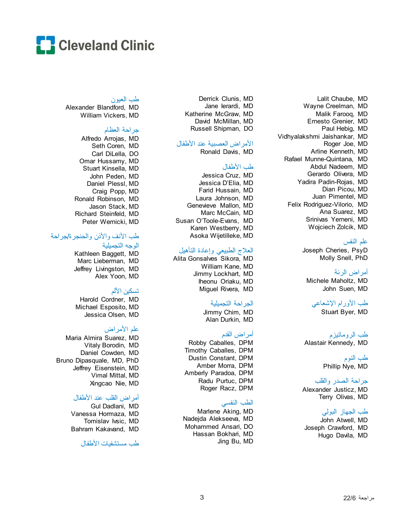

#### طب العیون

Alexander Blandford, MD William Vickers, MD

#### جراحة العظام

Alfredo Arrojas, MD Seth Coren, MD Carl DiLella, DO Omar Hussamy, MD Stuart Kinsella, MD John Peden, MD Daniel Plessl, MD Craig Popp, MD Ronald Robinson, MD Jason Stack, MD Richard Steinfeld, MD Peter Wernicki, MD

## طب الأنف والأذن والحنجرة/جراحة

# الوجھ التجمیلیة

Kathleen Baggett, MD Marc Lieberman, MD Jeffrey Livingston, MD Alex Yoon, MD

## تسكین الألم

Harold Cordner, MD Michael Esposito, MD Jessica Olsen, MD

## علم الأمراض

Maria Almira Suarez, MD Vitaly Borodin, MD Daniel Cowden, MD Bruno Dipasquale, MD, PhD Jeffrey Eisenstein, MD Vimal Mittal, MD Xingcao Nie, MD

#### أمراض القلب عند الأطفال

Gul Dadlani, MD Vanessa Hormaza, MD Tomislav Ivsic, MD Bahram Kakavand, MD

طب مستشفیات الأطفال

Derrick Clunis, MD Jane Ierardi, MD Katherine McGraw, MD David McMillan, MD Russell Shipman, DO

## الأمراض العصبیة عند الأطفال

Ronald Davis, MD

#### طب الأطفال

Jessica Cruz, MD Jessica D'Elia, MD Farid Hussain, MD Laura Johnson, MD Genevieve Mallon, MD Marc McCain, MD Susan O'Toole-Evans, MD Karen Westberry, MD Asoka Wijetilleke, MD

### العلاج الطبیعي وإعادة التأھیل

Alita Gonsalves Sikora, MD William Kane, MD Jimmy Lockhart, MD Iheonu Oriaku, MD Miguel Rivera, MD

## الجراحة التجمیلیة

Jimmy Chim, MD Alan Durkin, MD

## أمراض القدم

Robby Caballes, DPM Timothy Caballes, DPM Dustin Constant, DPM Amber Morra, DPM Amberly Paradoa, DPM Radu Purtuc, DPM Roger Racz, DPM

### الطب النفسي

Marlene Aking, MD Nadejda Alekseeva, MD Mohammed Ansari, DO Hassan Bokhari, MD Jing Bu, MD

Lalit Chaube, MD Wayne Creelman, MD Malik Farooq, MD Ernesto Grenier, MD Paul Hebig, MD Vidhyalakshmi Jaishankar, MD Roger Joe, MD Arline Kenneth, MD Rafael Munne-Quintana, MD Abdul Nadeem, MD Gerardo Olivera, MD Yadira Padin-Rojas, MD Dian Picou, MD Juan Pimentel, MD Felix Rodriguez-Vilorio, MD Ana Suarez, MD Srinivas Yerneni, MD Wojciech Zolcik, MD

## علم النفس

Joseph Cheries, PsyD Molly Snell, PhD

# أمراض الرئة

Michele Maholtz, MD John Suen, MD

# طب الأورام الإشعاعي

Stuart Byer, MD

طب الروماتیزم Alastair Kennedy, MD

> طب النوم Phillip Nye, MD

#### جراحة الصدر والقلب

Alexander Justicz, MD Terry Olivas, MD

## طب الجھاز البولي

John Atwell, MD Joseph Crawford, MD Hugo Davila, MD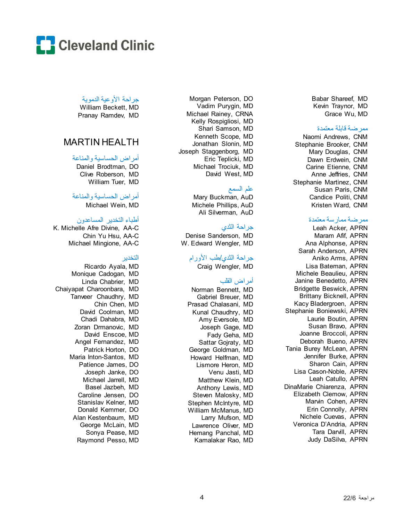

جراحة الأوعیة الدمویة

William Beckett, MD Pranay Ramdev, MD

# MARTIN HEALTH

## أمراض الحساسیة والمناعة

Daniel Brodtman, DO Clive Roberson, MD William Tuer, MD

## أمراض الحساسیة والمناعة

Michael Wein, MD

## أطباء التخدیر المساعدون

K. Michelle Afre Divine, AA - C Chin Yu Hsu, AA - C Michael Mingione, AA - C

### التخدیر

Ricardo Ayala, MD Monique Cadogan, MD Linda Chabrier, MD Chaiyapat Charoonbara, MD Tanveer Chaudhry, MD Chin Chen, MD David Coolman, MD Chadi Dahabra, MD Zoran Drmanovic, MD David Enscoe, MD Angel Fernandez, MD Patrick Horton, DO Maria Inton -Santos, MD Patience James, DO Joseph Janke, DO Michael Jarrell, MD Basel Jazbeh, MD Caroline Jensen, DO Stanislav Kelner, MD Donald Kemmer, DO Alan Kestenbaum, MD George McLain, MD Sonya Pease, MD Raymond Pesso, MD

Morgan Peterson, DO Vadim Purygin, MD Michael Rainey, CRNA Kelly Rospigliosi, MD Shari Samson, M D Kenneth Scope, MD Jonathan Slonin, MD Joseph Staggenborg, MD Eric Teplicki, MD Michael Trociuk, MD David West, MD

### علم السمع

Mary Buckman, AuD Michele Phillips, AuD Ali Silverman, AuD

## جراحة الثدي

Denise Sanderson, MD W. Edward Wengler, MD

## جراحة الثدي/طب الأورام

Craig Wengler, MD

## أمراض القلب

Norman Bennett, MD Gabriel Breuer, MD Prasad Chalasani, MD Kunal Chaudhry, MD Amy Eversole, MD Joseph Gage, MD Fady Geha, MD Sattar Gojraty, MD George Goldman, MD Howard Helfman, MD Lismore Heron, MD Venu Jasti, MD Matthew Klein, MD Anthony Lewis, MD Steven Malosky, MD Stephen McIntyre, MD William McManus, MD Larry Mufson, MD Lawrence Oliver, MD Hemang Panchal, MD Kamalakar Rao, MD Babar Shareef, MD Kevin Traynor, MD Grace Wu, MD

#### ممرضة قابلة معتمدة

Naomi Andrews, CNM Stephanie Brooker, CNM Mary Douglas, CNM Dawn Erdwein, CNM Carine Etienne, CNM Anne Jeffries, CNM Stephanie Martinez, CNM Susan Paris, CNM Candice Politi, CNM Kristen Ward, CNM

#### ممرضة ممارسة معتمدة

Leah Acker, APRN Maram Afif, APRN Ana Alphonse, APRN Sarah Anderson, APRN Aniko Arms, APRN Lisa Bateman, APRN Michele Beaulieu, APRN Janine Benedetto, APRN Bridgette Beswick, APRN Brittany Bicknell, APRN Kacy Bladergroen, APRN Stephanie Boniewski, APRN Laurie Boutin, APRN Susan Bravo, APRN Joanne Broccoli, APRN Deborah Bueno, APRN Tania Burey McLean, APRN Jennifer Burke, APRN Sharon Cain, APRN Lisa Cason -Noble, APRN Leah Catullo, APRN DinaMarie Chiarenza, APRN Elizabeth Clemow, APRN Marvin Cohen, APRN Erin Connolly, APRN Nichele Cuevas, APRN Veronica D'Andria, APRN Tara Darvill, APRN Judy DaSilva, APRN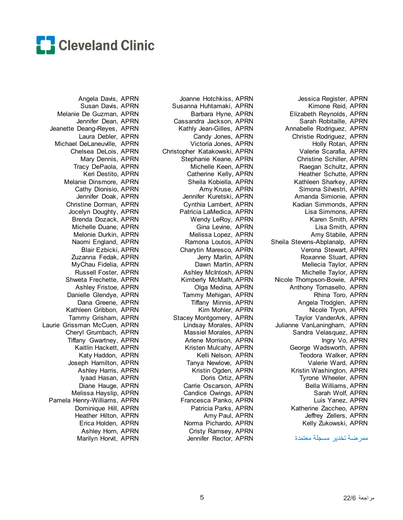

Jessica Register, APRN Kimone Reid, APRN Elizabeth Reynolds, APRN Sarah Robitaille, APRN Annabelle Rodriguez, APRN Christie Rodriguez, APRN Holly Rotan, APRN Valerie Scarafia, APRN Christine Schiller, APRN Raegan Schultz, APRN Heather Schutte, APRN Kathleen Sharkey, APRN Simona Silvestri, APRN Amanda Simionie, APRN Kadian Simmonds, APRN Lisa Simmons, APRN Karen Smith, APRN Lisa Smith, APRN Amy Stabile, APRN Sheila Stevens-Abplanalp, APRN Verona Stewart, APRN Roxanne Stuart, APRN Mellecia Taylor, APRN Michelle Taylor, APRN Nicole Thompson-Bowie, APRN Anthony Tomasello, APRN Rhina Toro, APRN Angela Trodglen, APRN Nicole Tryon, APRN Taylor VanderArk, APRN Julianne VanLaningham, APRN Sandra Velasquez, APRN Ingry Vo, APRN George Wadsworth, APRN Teodora Walker, APRN Valerie Ward, APRN Kristin Washington, APRN Tyrone Wheeler, APRN Bella Williams, APRN Sarah Wolf, APRN Luis Yanez, APRN Katherine Zaccheo, APRN Jeffrey Zellers, APRN Kelly Zukowski, APRN

ممرضة تخدیر مسجلة معتمدة

Joanne Hotchkiss, APRN Susanna Huhtamaki, APRN Barbara Hyne, APRN Cassandra Jackson, APRN Kathly Jean-Gilles, APRN Candy Jones, APRN Victoria Jones, APRN Christopher Katakowski, APRN Stephanie Keane, APRN Michelle Keen, APRN Catherine Kelly, APRN Sheila Kobiella, APRN Amy Kruse, APRN Jennifer Kuretski, APRN Cynthia Lambert, APRN Patricia LaMedica, APRN Wendy LeRoy, APRN Gina Levine, APRN Melissa Lopez, APRN Ramona Loutos, APRN Charytin Maresco, APRN Jerry Marlin, APRN Dawn Martin, APRN Ashley McIntosh, APRN Kimberly McMath, APRN Olga Medina, APRN Tammy Mehigan, APRN Tiffany Minnis, APRN Kim Mohler, APRN Stacey Montgomery, APRN Lindsay Morales, APRN Massiel Morales, APRN Arlene Morrison, APRN Kristen Mulcahy, APRN Kelli Nelson, APRN Tanya Newlove, APRN Kristin Ogden, APRN Doris Ortiz, APRN Carrie Oscarson, APRN Candice Owings, APRN Francesca Panko, APRN Patricia Parks, APRN Amy Paul, APRN Norma Pichardo, APRN Cristy Ramsey, APRN Jennifer Rector, APRN

Angela Davis, APRN Susan Davis, APRN Melanie De Guzman, APRN Jennifer Dean, APRN Jeanette Deang-Reyes, APRN Laura Debler, APRN Michael DeLaneuville, APRN Chelsea DeLois, APRN Mary Dennis, APRN Tracy DePaola, APRN Keri Destito, APRN Melanie Dinsmore, APRN Cathy Dionisio, APRN Jennifer Doak, APRN Christine Dorman, APRN Jocelyn Doughty, APRN Brenda Dozack, APRN Michelle Duane, APRN Melonie Durkin, APRN Naomi England, APRN Blair Ezbicki, APRN Zuzanna Fedak, APRN MyChau Fidelia, APRN Russell Foster, APRN Shweta Frechette, APRN Ashley Fristoe, APRN Danielle Glendye, APRN Dana Greene, APRN Kathleen Gribbon, APRN Tammy Grisham, APRN Laurie Grissman McCuen, APRN Cheryl Grumbach, APRN Tiffany Gwartney, APRN Kaitlin Hackett, APRN Katy Haddon, APRN Joseph Hamilton, APRN Ashley Harris, APRN Iyaad Hasan, APRN Diane Hauge, APRN Melissa Hayslip, APRN Pamela Henry-Williams, APRN Dominique Hill, APRN Heather Hilton, APRN Erica Holden, APRN Ashley Horn, APRN Marilyn Horvit, APRN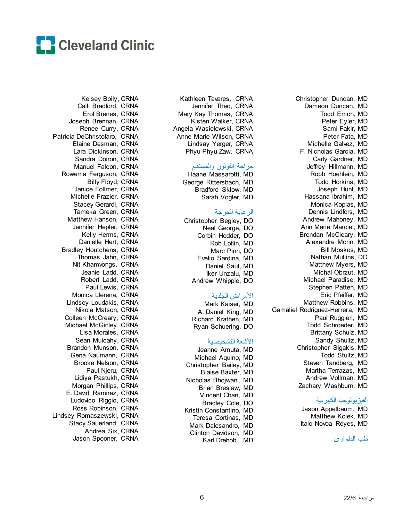

Kelsey Boily, CRNA Calli Bradford, CRNA Erol Brenes, CRNA Joseph Brennan, CRNA Renee Curry, CRNA Patricia DeChristofaro, CRNA Elaine Desman, CRNA Lara Dickinson, CRNA Sandra Doiron, CRNA Manuel Falcon, CRNA Rowema Ferguson, CRNA Billy Floyd, CRNA Janice Follmer, CRNA Michelle Frazier, CRNA Stacey Gerardi, CRNA Tameka Green, CRNA Matthew Hanson, CRNA Jennifer Hepler, CRNA Kelly Herms, CRNA Danielle Hert, CRNA Bradley Houtchens, CRNA Thomas Jahn, CRNA Nit Khamvongs, CRNA Jeanie Ladd, CRNA Robert Ladd, CRNA Paul Lewis, CRNA Monica Llerena, CRNA Lindsey Loudakis, CRNA Nikola Matson, CRNA Colleen McCreary, CRNA Michael McGinley, CRNA Lisa Morales, CRNA Sean Mulcahy, CRNA Brandon Munson, CRNA Gena Naumann, CRNA Brooke Nelson, CRNA Paul Njeru, CRNA Lidiya Pastukh, CRNA Morgan Phillips, CRNA E. David Ramirez, CRNA Ludovico Riggio, CRNA Ross Robinson, CRNA Lindsey Romaszewski, CRNA Stacy Sauerland, CRNA Andrea Six, CRNA Jason Spooner, CRNA

Kathleen Tavares, CRNA Jennifer Theo, CRNA Mary Kay Thomas, CRNA Kisten Walker, CRNA Angela Wasielewski, CRNA Anne Marie Wilson, CRNA Lindsay Yerger, CRNA Phyu Phyu Zaw, CRNA

#### جراحة القولون والمستقیم

Haane Massarotti, MD George Rittersbach, MD Bradford Sklow, MD Sarah Vogler, MD

#### الرعایة الحرجة

Christopher Begley, DO Neal George, DO Corbin Hodder, DO Rob Loflin, MD Marc Pinn, DO Evelio Sardina, MD Daniel Saul, MD Iker Unzalu, MD Andrew Whipple, DO

### الأمراض الجلدیة

Mark Kaiser, MD A. Daniel King, MD Richard Krathen, MD Ryan Schuering, DO

#### الأشعة التشخیصیة

Jeanne Amuta, MD Michael Aquino, MD Christopher Bailey, MD Blaise Baxter, MD Nicholas Bhojwani, MD Brian Breslaw, MD Vincent Chan, MD Bradley Cole, DO Kristin Constantino, MD Teresa Cortinas, MD Mark Dalesandro, MD Clinton Davidson, MD Karl Drehobl, MD

Christopher Duncan, MD Dameon Duncan, MD Todd Emch, MD Peter Eyler, MD Sami Fakir, MD Peter Fata, MD Michelle Galvez, MD F. Nicholas Garcia, MD Carly Gardner, MD Jeffrey Hillmann, MD Robb Hoehlein, MD Todd Horkins, MD Joseph Hunt, MD Hassana Ibrahim, MD Monica Koplas, MD Dennis Lindfors, MD Andrew Mahoney, MD Ann Marie Marciel, MD Brendan McCleary, MD Alexandre Morin, MD Bill Moskos, MD Nathan Mullins, DO Matthew Myers, MD Michal Obrzut, MD Michael Paradise, MD Stephen Patten, MD Eric Pfeiffer, MD Matthew Robbins, MD Gamaliel Rodriguez-Herrera, MD Paul Ruggieri, MD Todd Schroeder, MD Brittany Schulz, MD Sandy Shultz, MD Christopher Sigakis, MD Todd Stultz, MD Steven Tandberg, MD Martha Terrazas, MD Andrew Vollman, MD Zachary Washburn, MD

#### الفیزیولوجیا الكھربیة

Jason Appelbaum, MD Matthew Kolek, MD Italo Novoa Reyes, MD

طب الطوارئ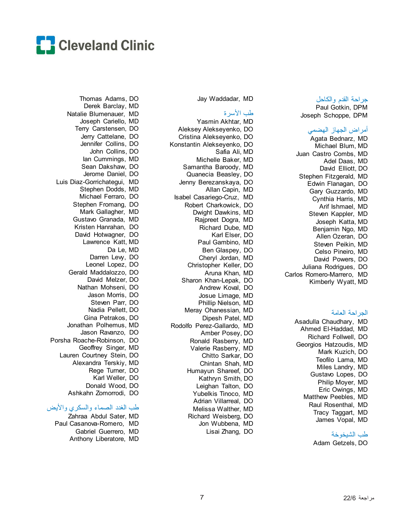

#### جراحة القدم والكاحل Paul Gotkin, DPM

Joseph Schoppe, DPM

## أمراض الجھاز الھضمي

Agata Bednarz, MD Michael Blum, MD Juan Castro Combs, MD Adel Daas, MD David Elliott, DO Stephen Fitzgerald, MD Edwin Flanagan, DO Gary Guzzardo, MD Cynthia Harris, MD Arif Ishmael, MD Steven Kappler, MD Joseph Katta, MD Benjamin Ngo, MD Allen Ozeran, DO Steven Peikin, MD Celso Pineiro, MD David Powers, DO Juliana Rodrigues, DO Carlos Romero-Marrero, MD Kimberly Wyatt, MD

### الجراحة العامة

Asadulla Chaudhary, MD Ahmed El-Haddad, MD Richard Follwell, DO Georgios Hatzoudis, MD Mark Kuzich, DO Teofilo Lama, MD Miles Landry, MD Gustavo Lopes, DO Philip Moyer, MD Eric Owings, MD Matthew Peebles, MD Raul Rosenthal, MD Tracy Taggart, MD James Vopal, MD

### طب الشیخوخة

Adam Getzels, DO

Jay Waddadar, MD

#### طب الأسرة

Yasmin Akhtar, MD Aleksey Alekseyenko, DO Cristina Alekseyenko, DO Konstantin Alekseyenko, DO Safia Ali, MD Michelle Baker, MD Samantha Baroody, MD Quanecia Beasley, DO Jenny Berezanskaya, DO Allan Capin, MD Isabel Casariego-Cruz, MD Robert Charkowick, DO Dwight Dawkins, MD Rajpreet Dogra, MD Richard Dube, MD Karl Elser, DO Paul Gambino, MD Ben Glaspey, DO Cheryl Jordan, MD Christopher Keller, DO Aruna Khan, MD Sharon Khan-Lepak, DO Andrew Koval, DO Josue Limage, MD Phillip Nielson, MD Meray Ohanessian, MD Dipesh Patel, MD Rodolfo Perez-Gallardo, MD Amber Posey, DO Ronald Rasberry, MD Valerie Rasberry, MD Chitto Sarkar, DO Chintan Shah, MD Humayun Shareef, DO Kathryn Smith, DO Leighan Talton, DO Yubelkis Tinoco, MD Adrian Villarreal, DO Melissa Walther, MD Richard Weisberg, DO Jon Wubbena, MD Lisai Zhang, DO

Thomas Adams, DO Derek Barclay, MD Natalie Blumenauer, MD Joseph Cariello, MD Terry Carstensen, DO Jerry Cattelane, DO Jennifer Collins, DO John Collins, DO Ian Cummings, MD Sean Dakshaw, DO Jerome Daniel, DO Luis Diaz-Gorrichategui, MD Stephen Dodds, MD Michael Ferraro, DO Stephen Fromang, DO Mark Gallagher, MD Gustavo Granada, MD Kristen Hanrahan, DO David Hotwagner, DO Lawrence Katt, MD Da Le, MD Darren Lew, DO Leonel Lopez, DO Gerald Maddalozzo, DO David Melzer, DO Nathan Mohseni, DO Jason Morris, DO Steven Parr, DO Nadia Pellett, DO Gina Petrakos, DO Jonathan Polhemus, MD Jason Ravanzo, DO Porsha Roache-Robinson, DO Geoffrey Singer, MD Lauren Courtney Stein, DO Alexandra Terskiy, MD Rege Turner, DO Karl Weller, DO Donald Wood, DO Ashkahn Zomorrodi, DO

## طب الغدد الصماء والسكري والأیض

Zahraa Abdul Sater, MD Paul Casanova-Romero, MD Gabriel Guerrero, MD Anthony Liberatore, MD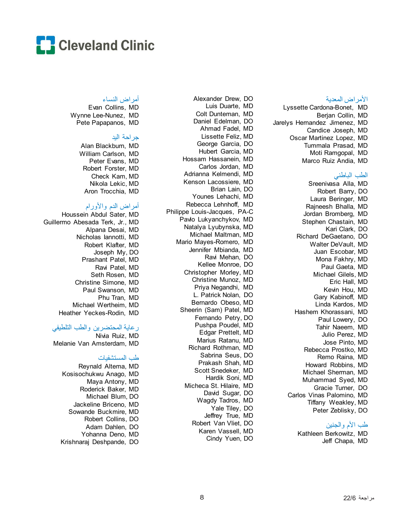

#### الأمراض المعدیة

Lyssette Cardona-Bonet, MD Berjan Collin, MD Jarelys Hernandez Jimenez, MD Candice Joseph, MD Oscar Martinez Lopez, MD Tummala Prasad, MD Moti Ramgopal, MD Marco Ruiz Andia, MD

### الطب الباطني

Sreenivasa Alla, MD Robert Barry, DO Laura Beringer, MD Rajneesh Bhalla, MD Jordan Bromberg, MD Stephen Chastain, MD Kari Clark, DO Richard DeGaetano, DO Walter DeVault, MD Juan Escobar, MD Mona Fakhry, MD Paul Gaeta, MD Michael Gilels, MD Eric Hall, MD Kevin Hou, MD Gary Kabinoff, MD Linda Kardos, MD Hashem Khorassani, MD Paul Lowery, DO Tahir Naeem, MD Julio Perez, MD Jose Pinto, MD Rebecca Prostko, MD Remo Raina, MD Howard Robbins, MD Michael Sherman, MD Muhammad Syed, MD Gracie Turner, DO Carlos Vinas Palomino, MD Tiffany Weakley, MD Peter Zeblisky, DO

## طب الأم والجنین

Kathleen Berkowitz, MD Jeff Chapa, MD

Alexander Drew, DO Luis Duarte, MD Colt Dunteman, MD Daniel Edelman, DO Ahmad Fadel, MD Lissette Feliz, MD George Garcia, DO Hubert Garcia, MD Hossam Hassanein, MD Carlos Jordan, MD Adrianna Kelmendi, MD Kenson Lacossiere, MD Brian Lain, DO Younes Lehachi, MD Rebecca Lehnhoff, MD Philippe Louis-Jacques, PA-C Pavlo Lukyanchykov, MD Natalya Lyubynska, MD Michael Maltman, MD Mario Mayes-Romero, MD Jennifer Mbianda, MD Ravi Mehan, DO Kellee Monroe, DO Christopher Morley, MD Christine Munoz, MD Priya Negandhi, MD L. Patrick Nolan, DO Bernardo Obeso, MD Sheerin (Sam) Patel, MD Fernando Petry, DO Pushpa Poudel, MD Edgar Prettelt, MD Marius Ratanu, MD Richard Rothman, MD Sabrina Seus, DO Prakash Shah, MD Scott Snedeker, MD Hardik Soni, MD Micheca St. Hilaire, MD David Sugar, DO Wagdy Tadros, MD Yale Tiley, DO Jeffrey True, MD Robert Van Vliet, DO Karen Vassell, MD Cindy Yuen, DO

#### أمراض النساء

Evan Collins, MD Wynne Lee-Nunez, MD Pete Papapanos, MD

### جراحة الید

Alan Blackburn, MD William Carlson, MD Peter Evans, MD Robert Forster, MD Check Kam, MD Nikola Lekic, MD Aron Trocchia, MD

## أمراض الدم والأورام

Houssein Abdul Sater, MD Guillermo Abesada Terk, Jr., MD Alpana Desai, MD Nicholas Iannotti, MD Robert Klafter, MD Joseph My, DO Prashant Patel, MD Ravi Patel, MD Seth Rosen, MD Christine Simone, MD Paul Swanson, MD Phu Tran, MD Michael Wertheim, MD Heather Yeckes-Rodin, MD

## رعایة المحتضرین والطب التلطیفي

Nivia Ruiz, MD Melanie Van Amsterdam, MD

## طب المستشفیات

Reynald Altema, MD Kosisochukwu Anago, MD Maya Antony, MD Roderick Baker, MD Michael Blum, DO Jackeline Briceno, MD Sowande Buckmire, MD Robert Collins, DO Adam Dahlen, DO Yohanna Deno, MD Krishnaraj Deshpande, DO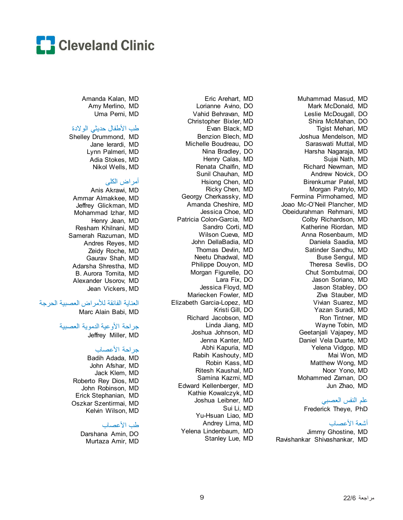

Muhammad Masud, MD Mark McDonald, MD Leslie McDougall, DO Shira McMahan, DO Tigist Mehari, MD Joshua Mendelson, MD Saraswati Muttal, MD Harsha Nagaraja, MD Sujai Nath, MD Richard Newman, MD Andrew Novick, DO Birenkumar Patel, MD Morgan Patrylo, MD Fermina Pirmohamed, MD Joao Mc-O'Neil Plancher, MD Obeidurahman Rehmani, MD Colby Richardson, MD Katherine Riordan, MD Anna Rosenbaum, MD Daniela Saadia, MD Satinder Sandhu, MD Buse Sengul, MD Theresa Sevilis, DO Chut Sombutmai, DO Jason Soriano, MD Jason Stabley, DO Ziva Stauber, MD Vivian Suarez, MD Yazan Suradi, MD Ron Tintner, MD Wayne Tobin, MD Geetanjali Vajapey, MD Daniel Vela Duarte, MD Yelena Vidgop, MD Mai Won, MD Matthew Wong, MD Noor Yono, MD Mohammed Zaman, DO Jun Zhao, MD علم النفس العصبي

Frederick Theye, PhD

### أشعة الأعصاب

Jimmy Ghostine, MD Ravishankar Shivashankar, MD

Eric Arehart, MD Lorianne Avino, DO Vahid Behravan, MD Christopher Bixler, MD Evan Black, MD Benzion Blech, MD Michelle Boudreau, DO Nina Bradley, DO Henry Calas, MD Renata Chalfin, MD Sunil Chauhan, MD Hsiong Chen, MD Ricky Chen, MD Georgy Cherkassky, MD Amanda Cheshire, MD Jessica Choe, MD Patricia Colon-Garcia, MD Sandro Corti, MD Wilson Cueva, MD John DellaBadia, MD Thomas Devlin, MD Neetu Dhadwal, MD Philippe Douyon, MD Morgan Figurelle, DO Lara Fix, DO Jessica Floyd, MD Mariecken Fowler, MD Elizabeth Garcia-Lopez, MD Kristi Gill, DO Richard Jacobson, MD Linda Jiang, MD Joshua Johnson, MD Jenna Kanter, MD Abhi Kapuria, MD Rabih Kashouty, MD Robin Kass, MD Ritesh Kaushal, MD Samina Kazmi, MD Edward Kellenberger, MD Kathie Kowalczyk, MD Joshua Leibner, MD Sui Li, MD Yu-Hsuan Liao, MD Andrey Lima, MD Yelena Lindenbaum, MD Stanley Lue, MD

Amanda Kalan, MD Amy Merlino, MD Uma Perni, MD

### طب الأطفال حدیثي الولادة

Shelley Drummond, MD Jane Ierardi, MD Lynn Palmeri, MD Adia Stokes, MD Nikol Wells, MD

## أمراض الكلى

Anis Akrawi, MD Ammar Almakkee, MD Jeffrey Glickman, MD Mohammad Izhar, MD Henry Jean, MD Resham Khilnani, MD Samerah Razuman, MD Andres Reyes, MD Zeidy Roche, MD Gaurav Shah, MD Adarsha Shrestha, MD B. Aurora Tomita, MD Alexander Usorov, MD Jean Vickers, MD

## العنایة الفائقة للأمراض العصبیة الحرجة

Marc Alain Babi, MD

### جراحة الأوعیة الدمویة العصبیة

Jeffrey Miller, MD

### جراحة الأعصاب

Badih Adada, MD John Afshar, MD Jack Klem, MD Roberto Rey Dios, MD John Robinson, MD Erick Stephanian, MD Oszkar Szentirmai, MD Kelvin Wilson, MD

## طب الأعصاب

Darshana Amin, DO Murtaza Amir, MD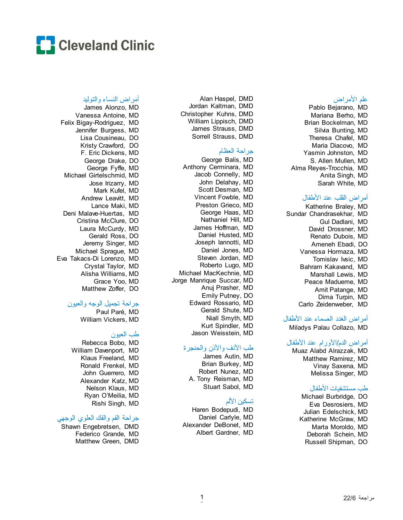

#### علم الأمراض

Pablo Bejarano, MD Mariana Berho, MD Brian Bockelman, MD Silvia Bunting, MD Theresa Chafel, MD Maria Diacovo, MD Yasmin Johnston, MD S. Allen Mullen, MD Alma Reyes-Trocchia, MD Anita Singh, MD Sarah White, MD

#### أمراض القلب عند الأطفال

Katherine Braley, MD Sundar Chandrasekhar, MD Gul Dadlani, MD David Drossner, MD Renato Dubois, MD Ameneh Ebadi, DO Vanessa Hormaza, MD Tomislav Ivsic, MD Bahram Kakavand, MD Marshall Lewis, MD Peace Madueme, MD Amit Patange, MD Dima Turpin, MD Carlo Zeidenweber, MD

#### أمراض الغدد الصماء عند الأطفال

Miladys Palau Collazo, MD

### أمراض الدم/الأورام عند الأطفال

Muaz Alabd Alrazzak, MD Matthew Ramirez, MD Vinay Saxena, MD Melissa Singer, MD

#### طب مستشفیات الأطفال

Michael Burbridge, DO Eva Desrosiers, MD Julian Edelschick, MD Katherine McGraw, MD Marta Moroldo, MD Deborah Schein, MD Russell Shipman, DO

Alan Haspel, DMD Jordan Kaltman, DMD Christopher Kuhns, DMD William Lippisch, DMD James Strauss, DMD Sorrell Strauss, DMD

## جراحة العظام

George Balis, MD Anthony Cerminara, MD Jacob Connelly, MD John Delahay, MD Scott Desman, MD Vincent Fowble, MD Preston Grieco, MD George Haas, MD Nathaniel Hill, MD James Hoffman, MD Daniel Husted, MD Joseph Iannotti, MD Daniel Jones, MD Steven Jordan, MD Roberto Lugo, MD Michael MacKechnie, MD Jorge Manrique Succar, MD Anuj Prasher, MD Emily Putney, DO Edward Rossario, MD Gerald Shute, MD Niall Smyth, MD Kurt Spindler, MD Jason Weisstein, MD

## طب الأنف والأذن والحنجرة

James Autin, MD Brian Burkey, MD Robert Nunez, MD A. Tony Reisman, MD Stuart Sabol, MD

# تسكین الألم

Haren Bodepudi, MD Daniel Carlyle, MD Alexander DeBonet, MD Albert Gardner, MD

### أمراض النساء والتولید

James Alonzo, MD Vanessa Antoine, MD Felix Bigay-Rodriguez, MD Jennifer Burgess, MD Lisa Cousineau, DO Kristy Crawford, DO F. Eric Dickens, MD George Drake, DO George Fyffe, MD Michael Girtelschmid, MD Jose Irizarry, MD Mark Kufel, MD Andrew Leavitt, MD Lance Maki, MD Deni Malave-Huertas, MD Cristina McClure, DO Laura McCurdy, MD Gerald Ross, DO Jeremy Singer, MD Michael Sprague, MD Eva Takacs-Di Lorenzo, MD Crystal Taylor, MD Alisha Williams, MD Grace Yoo, MD Matthew Zoffer, DO

## جراحة تجمیل الوجھ والعیون

Paul Paré, MD William Vickers, MD

## طب العیون

Rebecca Bobo, MD William Davenport, MD Klaus Freeland, MD Ronald Frenkel, MD John Guerrero, MD Alexander Katz, MD Nelson Klaus, MD Ryan O'Meilia, MD Rishi Singh, MD

## جراحة الفم والفك العلوي الوجھي

Shawn Engebretsen, DMD Federico Grande, MD Matthew Green, DMD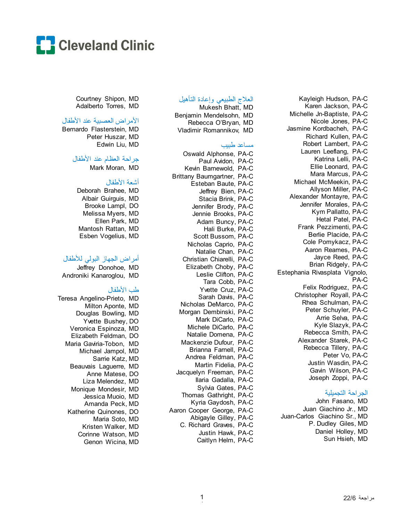

Kayleigh Hudson, PA-C Karen Jackson, PA-C Michelle Jn-Baptiste, PA-C Nicole Jones, PA-C Jasmine Kordbacheh, PA-C Richard Kullen, PA-C Robert Lambert, PA-C Lauren Leeflang, PA-C Katrina Lelli, PA-C Ellie Leonard, PA-C Mara Marcus, PA-C Michael McMeekin, PA-C Allyson Miller, PA-C Alexander Montayre, PA-C Jennifer Morales, PA-C Kym Pallatto, PA-C Hetal Patel, PA-C Frank Pezzimenti, PA-C Berlie Placide, PA-C Cole Pomykacz, PA-C Aaron Reames, PA-C Jayce Reed, PA-C Brian Ridgely, PA-C Estephania Rivasplata Vignolo, PA-C Felix Rodriguez, PA-C Christopher Royall, PA-C Rhea Schulman, PA-C Peter Schuyler, PA-C Arrie Selva, PA-C Kyle Slazyk, PA-C Rebecca Smith, PA-C Alexander Starek, PA-C Rebecca Tillery, PA-C Peter Vo, PA-C Justin Wasdin, PA-C Gavin Wilson, PA-C Joseph Zoppi, PA-C

#### الجراحة التجمیلیة

John Fasano, MD Juan Giachino Jr., MD Juan-Carlos Giachino Sr., MD P. Dudley Giles, MD Daniel Holley, MD Sun Hsieh, MD

## العلاج الطبیعي وإعادة التأھیل

Mukesh Bhatt, MD Benjamin Mendelsohn, MD Rebecca O'Bryan, MD Vladimir Romannikov, MD

#### مساعد طبیب

Oswald Alphonse, PA-C Paul Avidon, PA-C Kevin Barnewold, PA-C Brittany Baumgartner, PA-C Esteban Baute, PA-C Jeffrey Bien, PA-C Stacia Brink, PA-C Jennifer Brody, PA-C Jennie Brooks, PA-C Adam Buncy, PA-C Hali Burke, PA-C Scott Bussom, PA-C Nicholas Caprio, PA-C Natalie Chan, PA-C Christian Chiarelli, PA-C Elizabeth Choby, PA-C Leslie Clifton, PA-C Tara Cobb, PA-C Yvette Cruz, PA-C Sarah Davis, PA-C Nicholas DeMarco, PA-C Morgan Dembinski, PA-C Mark DiCarlo, PA-C Michele DiCarlo, PA-C Natalie Domena, PA-C Mackenzie Dufour, PA-C Brianna Farnell, PA-C Andrea Feldman, PA-C Martin Fidelia, PA-C Jacquelyn Freeman, PA-C Ilaria Gadalla, PA-C Sylvia Gates, PA-C Thomas Gathright, PA-C Kyria Gaydosh, PA-C Aaron Cooper George, PA-C Abigayle Gilley, PA-C C. Richard Graves, PA-C Justin Hawk, PA-C Caitlyn Helm, PA-C

Courtney Shipon, MD Adalberto Torres, MD

#### الأمراض العصبیة عند الأطفال

Bernardo Flasterstein, MD Peter Huszar, MD Edwin Liu, MD

### جراحة العظام عند الأطفال

Mark Moran, MD

#### أشعة الأطفال

Deborah Brahee, MD Albair Guirguis, MD Brooke Lampl, DO Melissa Myers, MD Ellen Park, MD Mantosh Rattan, MD Esben Vogelius, MD

### أمراض الجھاز البولي للأطفال

Jeffrey Donohoe, MD Androniki Kanaroglou, MD

## طب الأطفال

Teresa Angelino-Prieto, MD Milton Aponte, MD Douglas Bowling, MD Yvette Bushey, DO Veronica Espinoza, MD Elizabeth Feldman, DO Maria Gaviria-Tobon, MD Michael Jampol, MD Sarrie Katz, MD Beauvais Laguerre, MD Anne Matese, DO Liza Melendez, MD Monique Mondesir, MD Jessica Muoio, MD Amanda Peck, MD Katherine Quinones, DO Maria Soto, MD Kristen Walker, MD Corinne Watson, MD Genon Wicina, MD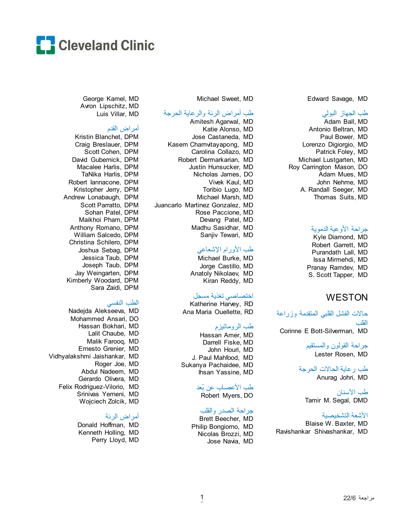

Edward Savage, MD

#### طب الجھاز البولي

Adam Ball, MD Antonio Beltran, MD Paul Bower, MD Lorenzo Digiorgio, MD Patrick Foley, MD Michael Lustgarten, MD Roy Carrington Mason, DO Adam Mues, MD John Nehme, MD A. Randall Seeger, MD Thomas Suits, MD

#### جراحة الأوعیة الدمویة

Kyle Diamond, MD Robert Garrett, MD Purandath Lall, MD Issa Mirmehdi, MD Pranay Ramdev, MD S. Scott Tapper, MD

# **WESTON**

حالات الفشل القلبي المتقدمة وزراعة القلب Corinne E Bott-Silverman, MD

> جراحة القولون والمستقیم Lester Rosen, MD

طب رعایة الحالات الحرجة Anurag Johri, MD

طب الأسنان Tamir M. Segal, DMD

#### الأشعة التشخیصیة

Blaise W. Baxter, MD Ravishankar Shivashankar, MD

Michael Sweet, MD

#### طب أمراض الرئة والرعایة الحرجة

Amitesh Agarwal, MD Katie Alonso, MD Jose Castaneda, MD Kasem Charnvitayapong, MD Carolina Collazo, MD Robert Dermarkarian, MD Justin Hunsucker, MD Nicholas James, DO Vivek Kaul, MD Toribio Lugo, MD Michael Marsh, MD Juancarlo Martinez Gonzalez, MD Rose Paccione, MD Devang Patel, MD Madhu Sasidhar, MD Sanjiv Tewari, MD

## طب الأورام الإشعاعي

Michael Burke, MD Jorge Castillo, MD Anatoly Nikolaev, MD Kiran Reddy, MD

## اختصاصي تغذیة مسجل

Katherine Harvey, RD Ana Maria Ouellette, RD

## طب الروماتیزم

Hassan Amer, MD Darrell Fiske, MD John Houri, MD J. Paul Mahfood, MD Sukanya Pachaidee, MD Ihsan Yassine, MD

### طب الأعصاب عن بُعد

Robert Myers, DO

### جراحة الصدر والقلب

Brett Beecher, MD Philip Bongiorno, MD Nicolas Brozzi, MD Jose Navia, MD

George Kamel, MD Avron Lipschitz, MD Luis Villar, MD

#### أمراض القدم

Kristin Blanchet, DPM Craig Breslauer, DPM Scott Cohen, DPM David Gubernick, DPM Macalee Harlis, DPM TaNika Harlis, DPM Robert Iannacone, DPM Kristopher Jerry, DPM Andrew Lonabaugh, DPM Scott Parratto, DPM Sohan Patel, DPM Maikhoi Pham, DPM Anthony Romano, DPM William Salcedo, DPM Christina Schilero, DPM Joshua Sebag, DPM Jessica Taub, DPM Joseph Taub, DPM Jay Weingarten, DPM Kimberly Woodard, DPM Sara Zaidi, DPM

### الطب النفسي

Nadejda Alekseeva, MD Mohammed Ansari, DO Hassan Bokhari, MD Lalit Chaube, MD Malik Farooq, MD Ernesto Grenier, MD Vidhyalakshmi Jaishankar, MD Roger Joe, MD Abdul Nadeem, MD Gerardo Olivera, MD Felix Rodriguez-Vilorio, MD Srinivas Yerneni, MD Wojciech Zolcik, MD

## أمراض الرئة

Donald Hoffman, MD Kenneth Holling, MD Perry Lloyd, MD